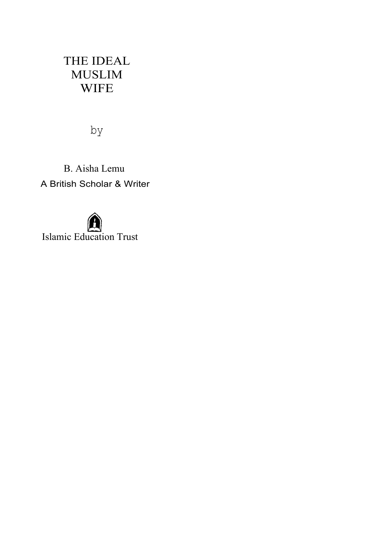# THE IDEAL MUSLIM **WIFE**

by

B. Aisha Lemu A British Scholar & Writer

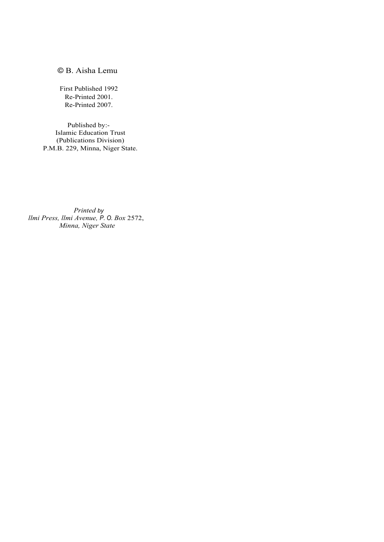# © B. Aisha Lemu

First Published 1992 Re-Printed 2001. Re-Printed 2007.

Published by:- Islamic Education Trust (Publications Division) P.M.B. 229, Minna, Niger State.

*Printed by llmi Press, llmi Avenue, P. O. Box* 2572, *Minna, Niger State*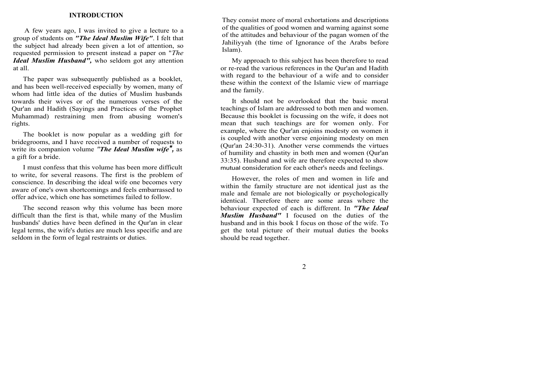#### **INTRODUCTION**

A few years ago, I was invited to give a lecture to a group of students on *"The Ideal Muslim Wife"*. I felt that the subject had already been given a lot of attention, so requested permission to present instead a paper on "*The Ideal Muslim Husband"*, who seldom got any attention at all.

The paper was subsequently published as a booklet, and has been well-received especially by women, many of whom had little idea of the duties of Muslim husbands towards their wives or of the numerous verses of the Qur'an and Hadith (Sayings and Practices of the Prophet Muhammad) restraining men from abusing women's rights.

The booklet is now popular as a wedding gift for bridegrooms, and I have received a number of requests to write its companion volume *"The Ideal Muslim wife",* as a gift for a bride.

I must confess that this volume has been more difficult to write, for several reasons. The first is the problem of conscience. In describing the ideal wife one becomes very aware of one's own shortcomings and feels embarrassed to offer advice, which one has sometimes failed to follow.

The second reason why this volume has been more difficult than the first is that, while many of the Muslim husbands' duties have been defined in the Qur'an in clear legal terms, the wife's duties are much less specific and are seldom in the form of legal restraints or duties.

They consist more of moral exhortations and descriptions of the qualities of good women and warning against some of the attitudes and behaviour of the pagan women of the Jahiliyyah (the time of Ignorance of the Arabs before Islam).

My approach to this subject has been therefore to read or re-read the various references in the Qur'an and Hadith with regard to the behaviour of a wife and to consider these within the context of the Islamic view of marriage and the family.

It should not be overlooked that the basic moral teachings of Islam are addressed to both men and women. Because this booklet is focussing on the wife, it does not mean that such teachings are for women only. For example, where the Qur'an enjoins modesty on women it is coupled with another verse enjoining modesty on men (Qur'an 24:30-31). Another verse commends the virtues of humility and chastity in both men and women (Qur'an 33:35). Husband and wife are therefore expected to show mutual consideration for each other's needs and feelings.

However, the roles of men and women in life and within the family structure are not identical just as the male and female are not biologically or psychologically identical. Therefore there are some areas where the behaviour expected of each is different. In *"The Ideal Muslim Husband"* I focused on the duties of the husband and in this book I focus on those of the wife. To get the total picture of their mutual duties the books should be read together.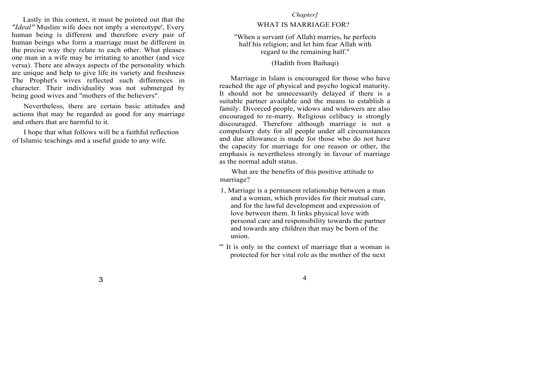Lastly in this context, it must be pointed out that the *"Ideal"* Muslim wife does not imply a stereotype', Every human being is different and therefore every pair of human beings who form a marriage must be different in the precise way they relate to each other. What pleases one man in a wife may be irritating to another (and vice versa). There are always aspects of the personality which are unique and help to give life its variety and freshness The Prophet's wives reflected such differences in character. Their individuality was not submerged by being good wives and "mothers of the believers".

Nevertheless, there are certain basic attitudes and actions that may be regarded as good for any marriage and others that are harmful to it.

I hope that what follows will be a faithful reflection of Islamic teachings and a useful guide to any wife.

#### *Chapter]*

#### WHAT IS MARRIAGE FOR?

"When a servant (of Allah) marries, he perfects half his religion; and let him fear Allah with regard to the remaining half."

## (Hadith from Baihaqi)

Marriage in Islam is encouraged for those who have reached the age of physical and psycho logical maturity. It should not be unnecessarily delayed if there is a suitable partner available and the means to establish a family. Divorced people, widows and widowers are also encouraged to re-marry. Religious celibacy is strongly discouraged. Therefore although marriage is not a compulsory duty for all people under all circumstances and due allowance is made for those who do not have the capacity for marriage for one reason or other, the emphasis is nevertheless strongly in favour of marriage as the normal adult status.

What are the benefits of this positive attitude to marriage?

- 1, Marriage is a permanent relationship between a man and a woman, which provides for their mutual care, and for the lawful development and expression of love between them. It links physical love with personal care and responsibility towards the partner and towards any children that may be born of the union.
- It is only in the context of marriage that a woman is protected for her vital role as the mother of the next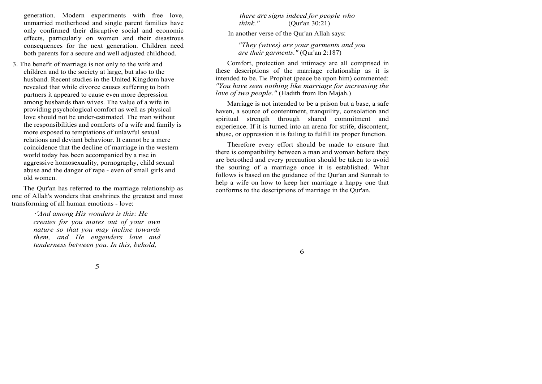generation. Modern experiments with free love, unmarried motherhood and single parent families have only confirmed their disruptive social and economic effects, particularly on women and their disastrous consequences for the next generation. Children need both parents for a secure and well adjusted childhood.

3. The benefit of marriage is not only to the wife and children and to the society at large, but also to the husband. Recent studies in the United Kingdom have revealed that while divorce causes suffering to both partners it appeared to cause even more depression among husbands than wives. The value of a wife in providing psychological comfort as well as physical love should not be under-estimated. The man without the responsibilities and comforts of a wife and family is more exposed to temptations of unlawful sexual relations and deviant behaviour. It cannot be a mere coincidence that the decline of marriage in the western world today has been accompanied by a rise in aggressive homosexuality, pornography, child sexual abuse and the danger of rape - even of small girls and old women.

The Qur'an has referred to the marriage relationship as one of Allah's wonders that enshrines the greatest and most transforming of all human emotions - love:

> *·'And among His wonders is this: He creates for you mates out of your own nature so that you may incline towards them, and He engenders love and tenderness between you. In this, behold,*

*there are signs indeed for people who*<br>*think*." (Our'an 30:21) *think."* (Qur'an 30:21)

In another verse of the Qur'an Allah says:

*"They (wives) are your garments and you are their garments."* (Qur'an 2:187)

Comfort, protection and intimacy are all comprised in these descriptions of the marriage relationship as it is intended to be. The Prophet (peace be upon him) commented: *"You have seen nothing like marriage for increasing the love of two people."* (Hadith from Ibn Majah.)

Marriage is not intended to be a prison but a base, a safe haven, a source of contentment, tranquility, consolation and spiritual strength through shared commitment and experience. If it is turned into an arena for strife, discontent, abuse, or oppression it is failing to fulfill its proper function.

Therefore every effort should be made to ensure that there is compatibility between a man and woman before they are betrothed and every precaution should be taken to avoid the souring of a marriage once it is established. What follows is based on the guidance of the Qur'an and Sunnah to help a wife on how to keep her marriage a happy one that conforms to the descriptions of marriage in the Qur'an.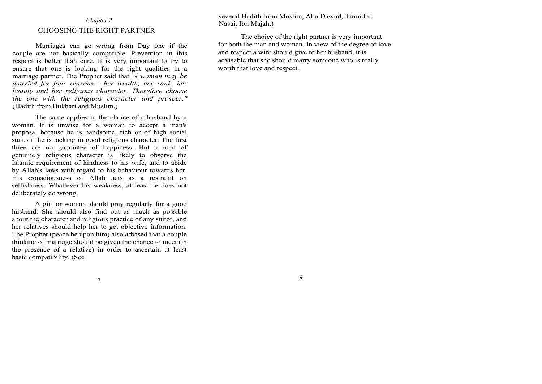# *Chapter 2*  CHOOSING THE RIGHT PARTNER

Marriages can go wrong from Day one if the couple are not basically compatible. Prevention in this respect is better than cure. It is very important to try to ensure that one is looking for the right qualities in a marriage partner. The Prophet said that "*A woman may be married for four reasons* - *her wealth, her rank, her beauty and her religious character. Therefore choose the one with the religious character and prosper."*  (Hadith from Bukhari and Muslim.)

The same applies in the choice of a husband by a woman. It is unwise for a woman to accept a man's proposal because he is handsome, rich or of high social status if he is lacking in good religious character. The first three are no guarantee of happiness. But a man of genuinely religious character is likely to observe the Islamic requirement of kindness to his wife, and to abide by Allah's laws with regard to his behaviour towards her. His consciousness of Allah acts as a restraint on selfishness. Whattever his weakness, at least he does not deliberately do wrong.

A girl or woman should pray regularly for a good husband. She should also find out as much as possible about the character and religious practice of any suitor, and her relatives should help her to get objective information. The Prophet (peace be upon him) also advised that a couple thinking of marriage should be given the chance to meet (in the presence of a relative) in order to ascertain at least basic compatibility. (See

several Hadith from Muslim, Abu Dawud, Tirmidhi. Nasai, Ibn Majah.)

The choice of the right partner is very important for both the man and woman. In view of the degree of love and respect a wife should give to her husband, it is advisable that she should marry someone who is really worth that love and respect.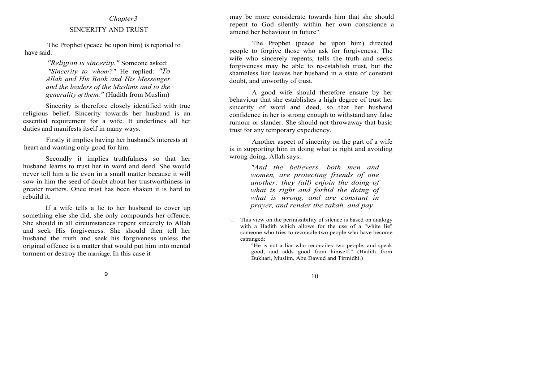#### *Chapter3*

#### SINCERITY AND TRUST

The Prophet (peace be upon him) is reported to have said:

> *"Religion is sincerity."* Someone asked: *"Sincerity to whom?"* He replied: *"To Allah and His Book and His Messenger and the leaders of the Muslims and to the generality of them."* (Hadith from Muslim)

Sincerity is therefore closely identified with true religious belief. Sincerity towards her husband is an essential requirement for a wife. It underlines all her duties and manifests itself in many ways.

Firstly it implies having her husband's interests at heart and wanting only good for him.

Secondly it implies truthfulness so that her husband learns to trust her in word and deed. She would never tell him a lie even in a small matter because it will sow in him the seed of doubt about her trustworthiness in greater matters. Once trust has been shaken it is hard to rebuild it.

If a wife tells a lie to her husband to cover up something else she did, she only compounds her offence. She should in all circumstances repent sincerely to Allah and seek His forgiveness. She should then tell her husband the truth and seek his forgiveness unless the original offence is a matter that would put him into mental torment or destroy the marriage. In this case it

may be more considerate towards him that she should repent to God silently within her own conscience a amend her behaviour in future".

The Prophet (peace be upon him) directed people to forgive those who ask for forgiveness. The wife who sincerely repents, tells the truth and seeks forgiveness may be able to re-establish trust, but the shameless liar leaves her husband in a state of constant doubt, and unworthy of trust.

A good wife should therefore ensure by her behaviour that she establishes a high degree of trust her sincerity of word and deed, so that her husband confidence in her is strong enough to withstand any false rumour or slander. She should not throwaway that basic trust for any temporary expediency.

Another aspect of sincerity on the part of a wife is in supporting him in doing what is right and avoiding wrong doing. Allah says:

> *"And the believers, both men and women, are protecting friends of one another: they (all) enjoin the doing of what is right and forbid the doing of what is wrong, and are constant in prayer, and render the zakah, and pay*

 $\Box$  This view on the permissibility of silence is based on analogy with a Hadith which allows for the use of a "white lie" someone who tries to reconcile two people who have become estranged:

"He is not a liar who reconciles two people, and speak good, and adds good from himself." (Hadith from Bukhari, Muslim, Abu Dawud and Tirmidhi.)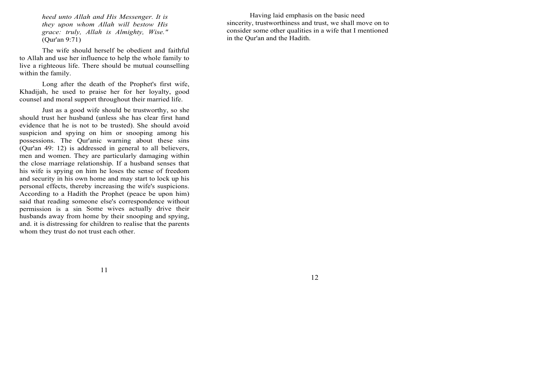*heed unto Allah and His Messenger. It is they upon whom Allah will bestow His grace: truly, Allah is Almighty, Wise."*  (Qur'an 9:71)

The wife should herself be obedient and faithful to Allah and use her influence to help the whole family to live a righteous life. There should be mutual counselling within the family.

Long after the death of the Prophet's first wife, Khadijah, he used to praise her for her loyalty, good counsel and moral support throughout their married life.

Just as a good wife should be trustworthy, so she should trust her husband (unless she has clear first hand evidence that he is not to be trusted). She should avoid suspicion and spying on him or snooping among his possessions. The Qur'anic warning about these sins (Qur'an 49: 12) is addressed in general to all believers, men and women. They are particularly damaging within the close marriage relationship. If a husband senses that his wife is spying on him he loses the sense of freedom and security in his own home and may start to lock up his personal effects, thereby increasing the wife's suspicions. According to a Hadith the Prophet (peace be upon him) said that reading someone else's correspondence without permission is a sin. Some wives actually drive their husbands away from home by their snooping and spying, and. it is distressing for children to realise that the parents whom they trust do not trust each other.

Having laid emphasis on the basic need sincerity, trustworthiness and trust, we shall move on to consider some other qualities in a wife that I mentioned in the Qur'an and the Hadith.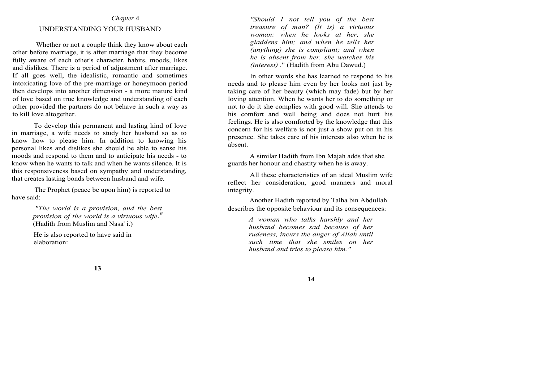#### *Chapter* 4

#### UNDERSTANDING YOUR HUSBAND

Whether or not a couple think they know about each other before marriage, it is after marriage that they become fully aware of each other's character, habits, moods, likes and dislikes. There is a period of adjustment after marriage. If all goes well, the idealistic, romantic and sometimes intoxicating love of the pre-marriage or honeymoon period then develops into another dimension - a more mature kind of love based on true knowledge and understanding of each other provided the partners do not behave in such a way as to kill love altogether.

To develop this permanent and lasting kind of love in marriage, a wife needs to study her husband so as to know how to please him. In addition to knowing his personal likes and dislikes she should be able to sense his moods and respond to them and to anticipate his needs - to know when he wants to talk and when he wants silence. It is this responsiveness based on sympathy and understanding, that creates lasting bonds between husband and wife.

The Prophet (peace be upon him) is reported to have said:

> *"The world is a provision, and the best provision of the world is a virtuous wife."*  (Hadith from Muslim and Nasa' i.)

He is also reported to have said in elaboration:

*"Should 1 not tell you of the best treasure of man? (It is) a virtuous woman: when he looks at her, she gladdens him; and when he tells her (anything) she is compliant; and when he is absent from her, she watches his (interest) .*" (Hadith from Abu Dawud.)

In other words she has learned to respond to his needs and to please him even by her looks not just by taking care of her beauty (which may fade) but by her loving attention. When he wants her to do something or not to do it she complies with good will. She attends to his comfort and well being and does not hurt his feelings. He is also comforted by the knowledge that this concern for his welfare is not just a show put on in his presence. She takes care of his interests also when he is absent.

A similar Hadith from Ibn Majah adds that she guards her honour and chastity when he is away.

All these characteristics of an ideal Muslim wife reflect her consideration, good manners and moral integrity.

Another Hadith reported by Talha bin Abdullah describes the opposite behaviour and its consequences:

> *A woman who talks harshly and her husband becomes sad because of her rudeness, incurs the anger of Allah until such time that she smiles on her husband and tries to please him."*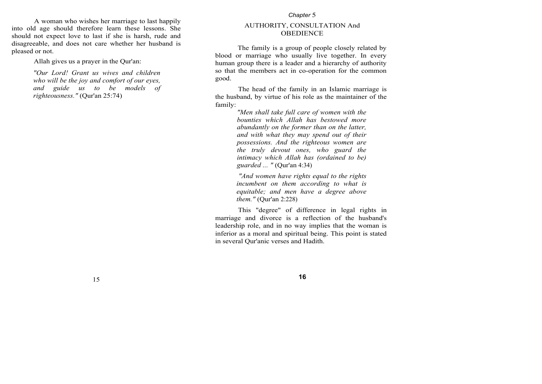*Chapter* 5

A woman who wishes her marriage to last happily into old age should therefore learn these lessons. She should not expect love to last if she is harsh, rude and disagreeable, and does not care whether her husband is pleased or not.

Allah gives us a prayer in the Qur'an:

*"Our Lord! Grant us wives and children who will be the joy and comfort of our eyes, and guide us to be models of righteousness."* (Qur'an 25:74)

# AUTHORITY, CONSULTATION And **OBEDIENCE**

The family is a group of people closely related by blood or marriage who usually live together. In every human group there is a leader and a hierarchy of authority so that the members act in co-operation for the common good.

The head of the family in an Islamic marriage is the husband, by virtue of his role as the maintainer of the family:

> *"Men shall take full care of women with the bounties which Allah has bestowed more abundantly on the former than on the latter, and with what they may spend out of their possessions. And the righteous women are the truly devout ones, who guard the intimacy which Allah has (ordained to be) guarded ... "* (Qur'an 4:34)

> *"And women have rights equal to the rights incumbent on them according to what is equitable; and men have a degree above them."* (Qur'an 2:228)

This "degree" of difference in legal rights in marriage and divorce is a reflection of the husband's leadership role, and in no way implies that the woman is inferior as a moral and spiritual being. This point is stated in several Qur'anic verses and Hadith.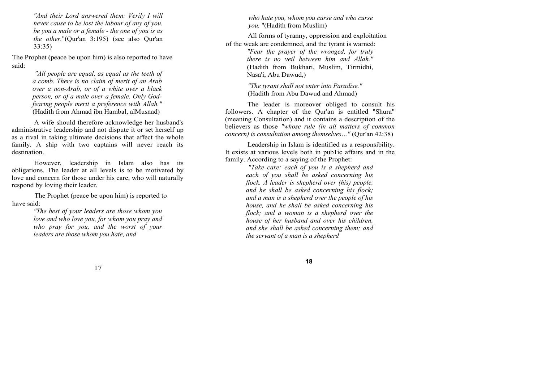*"And their Lord answered them: Verily I will never cause to be lost the labour of any of you. be you a male or a female* - *the one of you is as the other.*"(Qur'an 3:195) (see also Qur'an 33:35)

The Prophet (peace be upon him) is also reported to have said:

> *"All people are equal, as equal as the teeth of a comb. There is no claim of merit of an Arab over a non-Arab, or of a white over a black person, or of a male over a female. Only Godfearing people merit a preference with Allah."*  (Hadith from Ahmad ibn Hambal, alMusnad)

A wife should therefore acknowledge her husband's administrative leadership and not dispute it or set herself up as a rival in taking ultimate decisions that affect the whole family. A ship with two captains will never reach its destination.

However, leadership in Islam also has its obligations. The leader at all levels is to be motivated by love and concern for those under his care, who will naturally respond by loving their leader.

The Prophet (peace be upon him) is reported to have said:

> *"The best of your leaders are those whom you love and who love you, for whom you pray and who pray for you, and the worst of your leaders are those whom you hate, and*

*who hate you, whom you curse and who curse you.* "(Hadith from Muslim)

All forms of tyranny, oppression and exploitation of the weak are condemned, and the tyrant is warned: *"Fear the prayer of the wronged, for truly there is no veil between him and Allah."*  (Hadith from Bukhari, Muslim, Tirmidhi, Nasa'i, Abu Dawud,)

> *"The tyrant shall not enter into Paradise."*  (Hadith from Abu Dawud and Ahmad)

The leader is moreover obliged to consult his followers. A chapter of the Qur'an is entitled "Shura" (meaning Consultation) and it contains a description of the believers as those *"whose rule (in all matters of common concern) is consultation among themselves..."* (Our'an 42:38)

Leadership in Islam is identified as a responsibility. It exists at various levels both in pub1ic affairs and in the family. According to a saying of the Prophet:

> *"Take care: each of you is a shepherd and each of you shall be asked concerning his flock. A leader is shepherd over (his) people, and he shall be asked concerning his flock; and a man is a shepherd over the people of his house, and he shall be asked concerning his flock; and a woman is a shepherd over the house of her husband and over his children, and she shall be asked concerning them; and the servant of a man is a shepherd*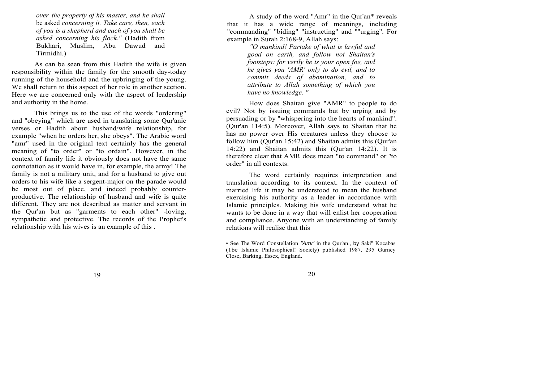*over the property of his master, and he shall*  be asked *concerning it. Take care, then, each of you is a shepherd and each of you shall be asked concerning his flock."* (Hadith from Bukhari, Muslim, Abu Dawud and Tirmidhi.)

As can be seen from this Hadith the wife is given responsibility within the family for the smooth day-today running of the household and the upbringing of the young. We shall return to this aspect of her role in another section. Here we are concerned only with the aspect of leadership and authority in the home.

This brings us to the use of the words "ordering" and "obeying" which are used in translating some Qur'anic verses or Hadith about husband/wife relationship, for example "when he orders her, she obeys". The Arabic word "amr" used in the original text certainly has the general meaning of "to order" or "to ordain". However, in the context of family life it obviously does not have the same connotation as it would have in, for example, the army! The family is not a military unit, and for a husband to give out orders to his wife like a sergent-major on the parade would be most out of place, and indeed probably counterproductive. The relationship of husband and wife is quite different. They are not described as matter and servant in the Qur'an but as "garments to each other" -loving, sympathetic and protective. The records of the Prophet's relationship with his wives is an example of this .

A study of the word "Amr" in the Qur'an\* reveals that it has a wide range of meanings, including "commanding" "biding" "instructing" and ''"urging''. For example in Surah 2:168-9, Allah says:

> *"O mankind! Partake of what is lawful and good on earth, and follow not Shaitan's footsteps: for verily he is your open foe, and he gives you 'AMR' only to do evil, and to commit deeds of abomination, and to attribute to Allah something of which you have no knowledge. "*

How does Shaitan give "AMR" to people to do evil? Not by issuing commands but by urging and by persuading or by ''whispering into the hearts of mankind". (Qur'an 114:5). Moreover, Allah says to Shaitan that he has no power over His creatures unless they choose to follow him (Qur'an 15:42) and Shaitan admits this (Qur'an 14:22) and Shaitan admits this (Qur'an 14:22). It is therefore clear that AMR does mean "to command" or ''to order" in all contexts.

The word certainly requires interpretation and translation according to its context. In the context of married life it may be understood to mean the husband exercising his authority as a leader in accordance with Islamic principles. Making his wife understand what he wants to be done in a way that will enlist her cooperation and compliance. Anyone with an understanding of family relations will realise that this

• See The Word Constellation "Amr' in the Our'an., by Saki" Kocabas (1be Islamic Philosophical! Society) published 1987, 295 Gurney Close, Barking, Essex, England.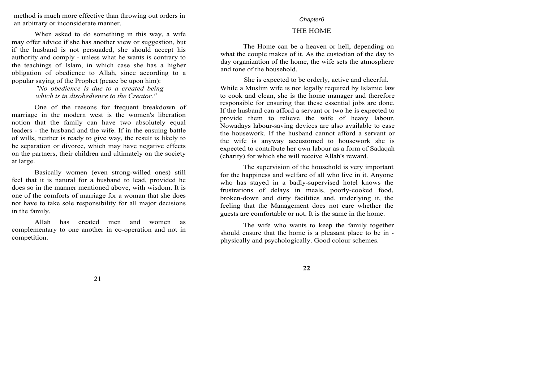method is much more effective than throwing out orders in an arbitrary or inconsiderate manner.

When asked to do something in this way, a wife may offer advice if she has another view or suggestion, but if the husband is not persuaded, she should accept his authority and comply - unless what he wants is contrary to the teachings of Islam, in which case she has a higher obligation of obedience to Allah, since according to a popular saying of the Prophet (peace be upon him):

## *"No obedience is due to a created being which is in disobedience to the Creator."*

One of the reasons for frequent breakdown of marriage in the modern west is the women's liberation notion that the family can have two absolutely equal leaders - the husband and the wife. If in the ensuing battle of wills, neither is ready to give way, the result is likely to be separation or divorce, which may have negative effects on the partners, their children and ultimately on the society at large.

Basically women (even strong-willed ones) still feel that it is natural for a husband to lead, provided he does so in the manner mentioned above, with wisdom. It is one of the comforts of marriage for a woman that she does not have to take sole responsibility for all major decisions in the family.

Allah has created men and women as complementary to one another in co-operation and not in competition.

#### *Chapter6*

#### THE HOME

The Home can be a heaven or hell, depending on what the couple makes of it. As the custodian of the day to day organization of the home, the wife sets the atmosphere and tone of the household.

She is expected to be orderly, active and cheerful. While a Muslim wife is not legally required by Islamic law to cook and clean, she is the home manager and therefore responsible for ensuring that these essential jobs are done. If the husband can afford a servant or two he is expected to provide them to relieve the wife of heavy labour. Nowadays labour-saving devices are also available to ease the housework. If the husband cannot afford a servant or the wife is anyway accustomed to housework she is expected to contribute her own labour as a form of Sadaqah (charity) for which she will receive Allah's reward.

The supervision of the household is very important for the happiness and welfare of all who live in it. Anyone who has stayed in a badly-supervised hotel knows the frustrations of delays in meals, poorly-cooked food, broken-down and dirty facilities and, underlying it, the feeling that the Management does not care whether the guests are comfortable or not. It is the same in the home.

The wife who wants to keep the family together should ensure that the home is a pleasant place to be in physically and psychologically. Good colour schemes.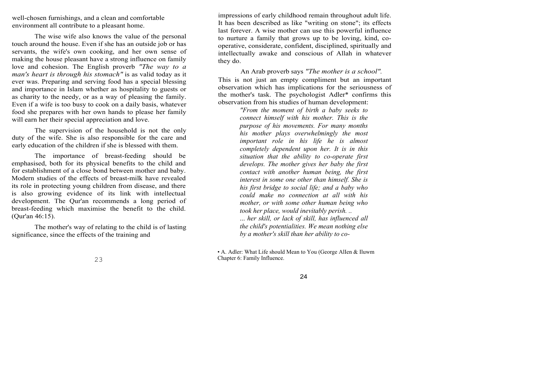well-chosen furnishings, and a clean and comfortable environment all contribute to a pleasant home.

The wise wife also knows the value of the personal touch around the house. Even if she has an outside job or has servants, the wife's own cooking, and her own sense of making the house pleasant have a strong influence on family love and cohesion. The English proverb *"The way to a man's heart is through his stomach"* is as valid today as it ever was. Preparing and serving food has a special blessing and importance in Islam whether as hospitality to guests or as charity to the needy, or as a way of pleasing the family. Even if a wife is too busy to cook on a daily basis, whatever food she prepares with her own hands to please her family will earn her their special appreciation and love.

The supervision of the household is not the only duty of the wife. She is also responsible for the care and early education of the children if she is blessed with them.

The importance of breast-feeding should be emphasised, both for its physical benefits to the child and for establishment of a close bond between mother and baby. Modern studies of the effects of breast-milk have revealed its role in protecting young children from disease, and there is also growing evidence of its link with intellectual development. The Qur'an recommends a long period of breast-feeding which maximise the benefit to the child. (Qur'an 46:15).

The mother's way of relating to the child is of lasting significance, since the effects of the training and

impressions of early childhood remain throughout adult life. It has been described as like "writing on stone"; its effects last forever. A wise mother can use this powerful influence to nurture a family that grows up to be loving, kind, cooperative, considerate, confident, disciplined, spiritually and intellectually awake and conscious of Allah in whatever they do.

An Arab proverb says *"The mother is a school".*  This is not just an empty compliment but an important observation which has implications for the seriousness of the mother's task. The psychologist Adler\* confirms this observation from his studies of human development:

> *"From the moment of birth a baby seeks to connect himself with his mother. This is the purpose of his movements. For many months his mother plays overwhelmingly the most important role in his life he is almost completely dependent upon her. It is in this situation that the ability to co-operate first develops. The mother gives her baby the first contact with another human being, the first interest in some one other than himself. She is his first bridge to social life; and a baby who could make no connection at all with his mother, or with some other human being who took her place, would inevitably perish. ..*

... *her skill, or lack of skill, has influenced all the child's potentialities. We mean nothing else by a mother's skill than her ability to co-*

• A. Adler: What Life should Mean to You (George AlIen & Iluwm Chapter 6: Family Influence.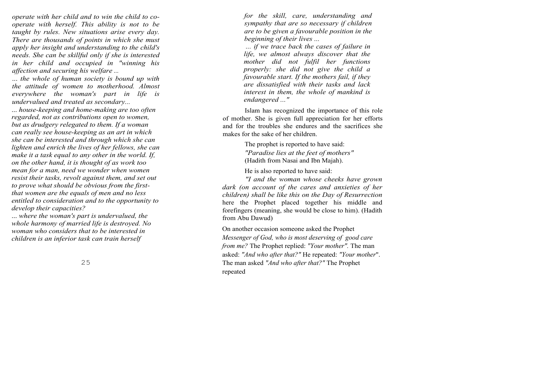*operate with her child and to win the child to cooperate with herself. This ability is not to be taught by rules. New situations arise every day. There are thousands of points in which she must apply her insight and understanding to the child's needs. She can be skillful only if she is interested in her child and occupied in "winning his affection and securing his welfare ...* 

... *the whole of human society is bound up with the attitude of women to motherhood. Almost everywhere the woman's part in life is undervalued and treated as secondary...* 

... *house-keeping and home-making are too often regarded, not as contributions open to women, but as drudgery relegated to them. If a woman can really see house-keeping as an art in which she can be interested and through which she can lighten and enrich the lives of her fellows, she can make it a task equal to any other in the world. If, on the other hand, it is thought of as work too mean for a man, need we wonder when women resist their tasks, revolt against them, and set out to prove what should be obvious from the firstthat women are the equals of men and no less entitled to consideration and to the opportunity to develop their capacities?* 

... *where the woman's part is undervalued, the whole harmony of married life is destroyed. No woman who considers that to be interested in children is an inferior task can train herself*

*for the skill, care, understanding and sympathy that are so necessary if children are to be given a favourable position in the beginning of their lives ...* 

*... if we trace back the cases of failure in life, we almost always discover that the mother did not fulfil her functions properly: she did not give the child a favourable start. If the mothers fail, if they are dissatisfied with their tasks and lack interest in them, the whole of mankind is endangered ..."*

Islam has recognized the importance of this role of mother. She is given full appreciation for her efforts and for the troubles she endures and the sacrifices she makes for the sake of her children.

> The prophet is reported to have said: *"Paradise lies at the feet of mothers"*  (Hadith from Nasai and Ibn Majah).

He is also reported to have said:

*"I and the woman whose cheeks have grown dark (on account of the cares and anxieties of her children) shall be like this on the Day of Resurrection* here the Prophet placed together his middle and forefingers (meaning, she would be close to him). (Hadith from Abu Dawud)

On another occasion someone asked the Prophet *Messenger of God, who is most deserving of good care from me?* The Prophet replied: *"Your mother".* The man asked: *"And who after that?"* He repeated: *"Your mother*". The man asked *"And who after that?"* The Prophet repeated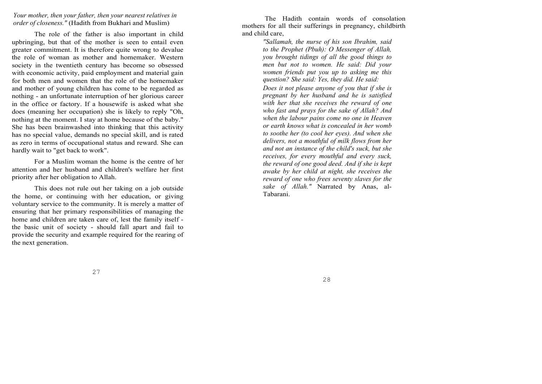### *Your mother, then your father, then your nearest relatives in order of closeness."* (Hadith from Bukhari and Muslim)

The role of the father is also important in child upbringing, but that of the mother is seen to entail even greater commitment. It is therefore quite wrong to devalue the role of woman as mother and homemaker. Western society in the twentieth century has become so obsessed with economic activity, paid employment and material gain for both men and women that the role of the homemaker and mother of young children has come to be regarded as nothing - an unfortunate interruption of her glorious career in the office or factory. If a housewife is asked what she does (meaning her occupation) she is likely to reply "Oh, nothing at the moment. I stay at home because of the baby." She has been brainwashed into thinking that this activity has no special value, demands no special skill, and is rated as zero in terms of occupational status and reward. She can hardly wait to "get back to work".

For a Muslim woman the home is the centre of her attention and her husband and children's welfare her first priority after her obligation to Allah.

This does not rule out her taking on a job outside the home, or continuing with her education, or giving voluntary service to the community. It is merely a matter of ensuring that her primary responsibilities of managing the home and children are taken care of, lest the family itself the basic unit of society - should fall apart and fail to provide the security and example required for the rearing of the next generation.

The Hadith contain words of consolation mothers for all their sufferings in pregnancy, childbirth and child care,

> *"Sallamah, the nurse of his son Ibrahim, said to the Prophet (Pbuh): O Messenger of Allah, you brought tidings of all the good things to men but not to women. He said: Did your women friends put you up to asking me this question? She said: Yes, they did. He said: Does it not please anyone of you that if she is pregnant by her husband and he is satisfied with her that she receives the reward of one who fast and prays for the sake of Allah? And when the labour pains come no one in Heaven or earth knows what is concealed in her womb to soothe her (to cool her eyes). And when she delivers, not a mouthful of milk flows from her and not an instance of the child's suck, but she receives, for every mouthful and every suck, the reward of one good deed. And if she is kept awake by her child at night, she receives the reward of one who frees seventy slaves for the sake of Allah."* Narrated by Anas, al-Tabarani.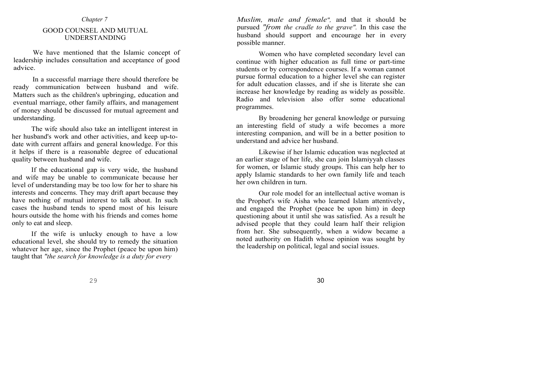# *Chapter 7*  GOOD COUNSEL AND MUTUAL UNDERSTANDING

We have mentioned that the Islamic concept of leadership includes consultation and acceptance of good advice.

In a successful marriage there should therefore be ready communication between husband and wife. Matters such as the children's upbringing, education and eventual marriage, other family affairs, and management of money should be discussed for mutual agreement and understanding.

The wife should also take an intelligent interest in her husband's work and other activities, and keep up-todate with current affairs and general knowledge. For this it helps if there is a reasonable degree of educational quality between husband and wife.

If the educational gap is very wide, the husband and wife may be unable to communicate because her level of understanding may be too low for her to share his interests and concerns. They may drift apart because they have nothing of mutual interest to talk about. In such cases the husband tends to spend most of his leisure hours outside the home with his friends and comes home only to eat and sleep.

If the wife is unlucky enough to have a low educational level, she should try to remedy the situation whatever her age, since the Prophet (peace be upon him) taught that *"the search for knowledge is a duty for every* 

*Muslim, male and female",* and that it should be pursued *"from the cradle to the grave".* In this case the husband should support and encourage her in every possible manner.

Women who have completed secondary level can continue with higher education as full time or part-time students or by correspondence courses. If a woman cannot pursue formal education to a higher level she can register for adult education classes, and if she is literate she can increase her knowledge by reading as widely as possible. Radio and television also offer some educational programmes.

By broadening her general knowledge or pursuing an interesting field of study a wife becomes a more interesting companion, and will be in a better position to understand and advice her husband.

Likewise if her Islamic education was neglected at an earlier stage of her life, she can join Islamiyyah classes for women, or Islamic study groups. This can help her to apply Islamic standards to her own family life and teach her own children in turn.

Our role model for an intellectual active woman is the Prophet's wife Aisha who learned Islam attentively, and engaged the Prophet (peace be upon him) in deep questioning about it until she was satisfied. As a result he advised people that they could learn half their religion from her. She subsequently, when a widow became a noted authority on Hadith whose opinion was sought by the leadership on political, legal and social issues.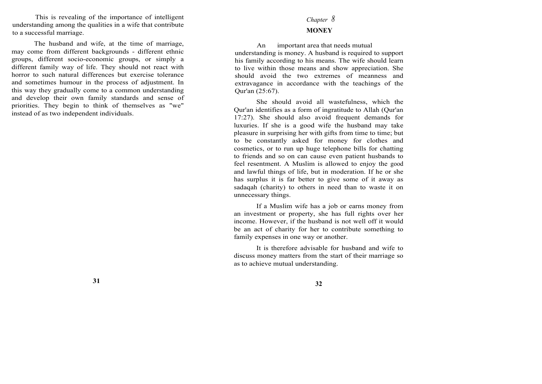This is revealing of the importance of intelligent understanding among the qualities in a wife that contribute to a successful marriage.

The husband and wife, at the time of marriage, may come from different backgrounds - different ethnic groups, different socio-economic groups, or simply a different family way of life. They should not react with horror to such natural differences but exercise tolerance and sometimes humour in the process of adjustment. In this way they gradually come to a common understanding and develop their own family standards and sense of priorities. They begin to think of themselves as "we" instead of as two independent individuals.

# *Chapter 8*

## **MONEY**

An important area that needs mutual understanding is money. A husband is required to support his family according to his means. The wife should learn to live within those means and show appreciation. She should avoid the two extremes of meanness and extravagance in accordance with the teachings of the Qur'an (25:67).

She should avoid all wastefulness, which the Qur'an identifies as a form of ingratitude to Allah (Qur'an 17:27). She should also avoid frequent demands for luxuries. If she is a good wife the husband may take pleasure in surprising her with gifts from time to time; but to be constantly asked for money for clothes and cosmetics, or to run up huge telephone bills for chatting to friends and so on can cause even patient husbands to feel resentment. A Muslim is allowed to enjoy the good and lawful things of life, but in moderation. If he or she has surplus it is far better to give some of it away as sadaqah (charity) to others in need than to waste it on unnecessary things.

If a Muslim wife has a job or earns money from an investment or property, she has full rights over her income. However, if the husband is not well off it would be an act of charity for her to contribute something to family expenses in one way or another.

It is therefore advisable for husband and wife to discuss money matters from the start of their marriage so as to achieve mutual understanding.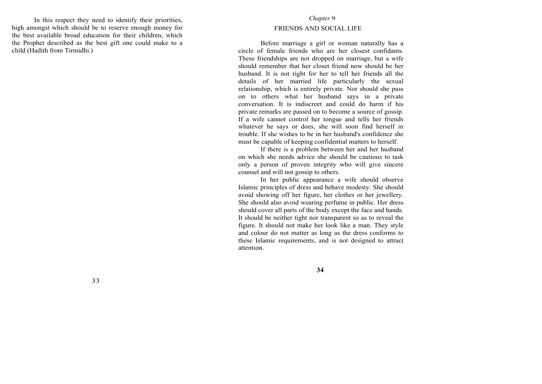In this respect they need to identify their priorities, high amongst which should be to reserve enough money for the best available broad education for their children, which the Prophet described as the best gift one could make to a child (Hadith from Tirmidhi.)

# *Chapter* 9 FRIENDS AND SOCIAL LIFE

Before marriage a girl or woman naturally has a circle of female friends who are her closest confidants. These friendships are not dropped on marriage, but a wife should remember that her closet friend now should be her husband. It is not right for her to tell her friends all the details of her married life particularly the sexual relationship, which is entirely private. Nor should she pass on to others what her husband says in a private conversation. It is indiscreet and could do harm if his private remarks are passed on to become a source of gossip. If a wife cannot control her tongue and tells her friends whatever he says or does, she will soon find herself in trouble. If she wishes to be in her husband's confidence she must be capable of keeping confidential matters to herself.

If there is a problem between her and her husband on which she needs advice she should be cautious to task only a person of proven integrity who will give sincere counsel and will not gossip to others.

In her public appearance a wife should observe Islamic principles of dress and behave modesty. She should avoid showing off her figure, her clothes or her jewellery. She should also avoid wearing perfume in public. Her dress should cover all parts of the body except the face and hands. It should be neither tight nor transparent so as to reveal the figure. It should not make her look like a man. They style and colour do not matter as long as the dress conforms to these Islamic requirements, and is not designed to attract attention.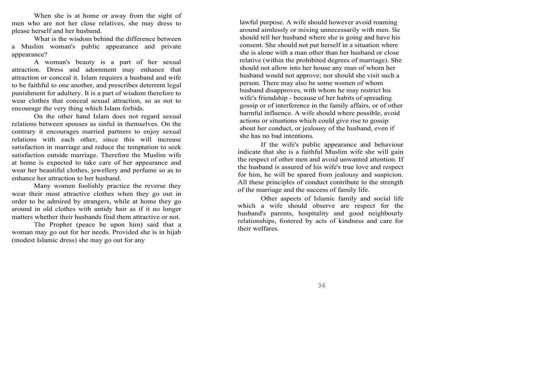When she is at home or away from the sight of men who are not her close relatives, she may dress to please herself and her husband.

What is the wisdom behind the difference between a Muslim woman's public appearance and private appearance?

A woman's beauty is a part of her sexual attraction. Dress and adornment may enhance that attraction or conceal it. Islam requires a husband and wife to be faithful to one another, and prescribes deterrent legal punishment for adultery. It is a part of wisdom therefore to wear clothes that conceal sexual attraction, so as not to encourage the very thing which Islam forbids.

On the other hand Islam does not regard sexual relations between spouses as sinful in themselves. On the contrary it encourages married partners to enjoy sexual relations with each other, since this will increase satisfaction in marriage and reduce the temptation to seek satisfaction outside marriage. Therefore the Muslim wife at home is expected to take care of her appearance and wear her beautiful clothes, jewellery and perfume so as to enhance her attraction to her husband.

Many women foolishly practice the reverse they wear their most attractive clothes when they go out in order to be admired by strangers, while at home they go around in old clothes with untidy hair as if it no longer matters whether their husbands find them attractive or not.

The Prophet (peace be upon him) said that a woman may go out for her needs. Provided she is in hijab (modest Islamic dress) she may go out for any

lawful purpose. A wife should however avoid roaming around aimlessly or mixing unnecessarily with men. She should tell her husband where she is going and have his consent. She should not put herself in a situation where she is alone with a man other than her husband or close relative (within the prohibited degrees of marriage). She should not allow into her house any man of whom her husband would not approve; nor should she visit such a person. There may also be some women of whom husband disapproves, with whom he may restrict his wife's friendship - because of her habits of spreading gossip or of interference in the family affairs, or of other harmful influence. A wife should where possible, avoid actions or situations which could give rise to gossip about her conduct, or jealousy of the husband, even if she has no bad intentions.

If the wife's public appearance and behaviour indicate that she is a faithful Muslim wife she will gain the respect of other men and avoid unwanted attention. If the husband is assured of his wife's true love and respect for him, he will be spared from jealousy and suspicion. All these principles of conduct contribute to the strength of the marriage and the success of family life.

Other aspects of Islamic family and social life which a wife should observe are respect for the husband's parents, hospitality and good neighbourly relationships, fostered by acts of kindness and care for their welfares.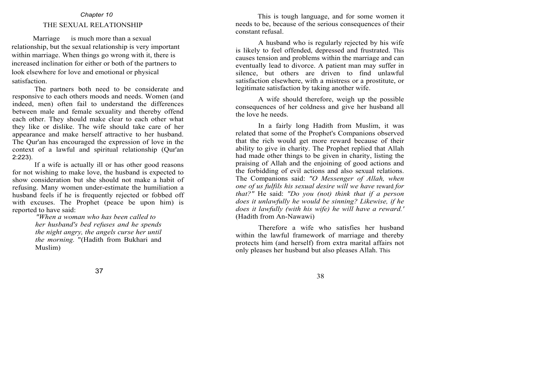## *Chapter 10* THE SEXUAL RELATIONSHIP

Marriage is much more than a sexual relationship, but the sexual relationship is very important within marriage. When things go wrong with it, there is increased inclination for either or both of the partners to look elsewhere for love and emotional or physical satisfaction.

The partners both need to be considerate and responsive to each others moods and needs. Women (and indeed, men) often fail to understand the differences between male and female sexuality and thereby offend each other. They should make clear to each other what they like or dislike. The wife should take care of her appearance and make herself attractive to her husband. The Qur'an has encouraged the expression of love in the context of a lawful and spiritual relationship (Qur'an 2:223).

If a wife is actually ill or has other good reasons for not wishing to make love, the husband is expected to show consideration but she should not make a habit of refusing. Many women under-estimate the humiliation a husband feels if he is frequently rejected or fobbed off with excuses. The Prophet (peace be upon him) is reported to have said:

*"When a woman who has been called to her husband's bed refuses and he spends the night angry, the angels curse her until the morning.* "(Hadith from Bukhari and Muslim)

This is tough language, and for some women it needs to be, because of the serious consequences of their constant refusal.

A husband who is regularly rejected by his wife is likely to feel offended, depressed and frustrated. This causes tension and problems within the marriage and can eventually lead to divorce. A patient man may suffer in silence, but others are driven to find unlawful satisfaction elsewhere, with a mistress or a prostitute, or legitimate satisfaction by taking another wife.

A wife should therefore, weigh up the possible consequences of her coldness and give her husband all the love he needs.

In a fairly long Hadith from Muslim, it was related that some of the Prophet's Companions observed that the rich would get more reward because of their ability to give in charity. The Prophet replied that Allah had made other things to be given in charity, listing the praising of Allah and the enjoining of good actions and the forbidding of evil actions and also sexual relations. The Companions said: *"O Messenger of Allah, when one of us fulfils his sexual desire will we have reward for that?"* He said: *"Do you (not) think that if a person does it unlawfully he would be sinning? Likewise, if he does it lawfully (with his wife) he will have a reward.'*  (Hadith from An-Nawawi)

Therefore a wife who satisfies her husband within the lawful framework of marriage and thereby protects him (and herself) from extra marital affairs not only pleases her husband but also pleases Allah. This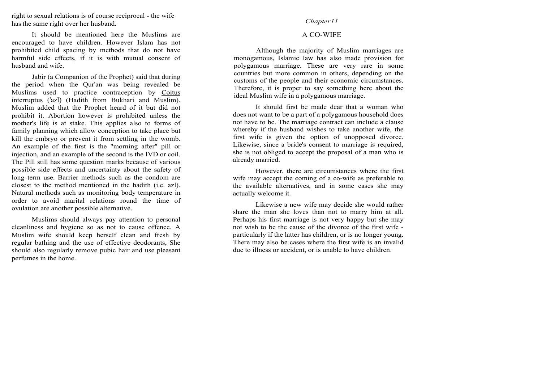right to sexual relations is of course reciprocal - the wife hasthe same right over her husband.

It should be mentioned here the Muslims are encouraged to have children. However Islam has not prohibited child spacing by methods that do not have harmful side effects, if it is with mutual consent of husband and wife.

Jabir (a Companion of the Prophet) said that during the period when the Qur'an was being revealed be Muslims used to practice contraception by Coitus interruptus ('azl) (Hadith from Bukhari and Muslim). Muslim added that the Prophet heard of it but did not prohibit it. Abortion however is prohibited unless the mother's life is at stake. This applies also to forms of family planning which allow conception to take place but kill the embryo or prevent it from settling in the womb. An example of the first is the "morning after" pill or injection, and an example of the second is the IVD or coil. The Pill still has some question marks because of various possible side effects and uncertainty about the safety 0f long term use. Barrier methods such as the condom are closest to the method mentioned in the hadith (i.e. azl). Natural methods such as monitoring body temperature in order to avoid marital relations round the time of ovulation are another possible alternative.

Muslims should always pay attention to personal cleanliness and hygiene so as not to cause offence. A Muslim wife should keep herself clean and fresh by regular bathing and the use of effective deodorants, She should also regularly remove pubic hair and use pleasant perfumes in the home.

#### *Chapter11*

#### A CO-WIFE

Although the majority of Muslim marriages are monogamous, Islamic law has also made provision for polygamous marriage. These are very rare in some countries but more common in others, depending on the customs of the people and their economic circumstances. Therefore, it is proper to say something here about the ideal Muslim wife in a polygamous marriage.

It should first be made dear that a woman who does not want to be a part of a polygamous household does not have to be. The marriage contract can include a clause whereby if the husband wishes to take another wife, the first wife is given the option of unopposed divorce. Likewise, since a bride's consent to marriage is required, she is not obliged to accept the proposal of a man who is already married.

However, there are circumstances where the first wife may accept the coming of a co-wife as preferable to the available alternatives, and in some cases she may actually welcome it.

Likewise a new wife may decide she would rather share the man she loves than not to marry him at all. Perhaps his first marriage is not very happy but she may not wish to be the cause of the divorce of the first wife particularly if the latter has children, or is no longer young. There may also be cases where the first wife is an invalid due to illness or accident, or is unable to have children.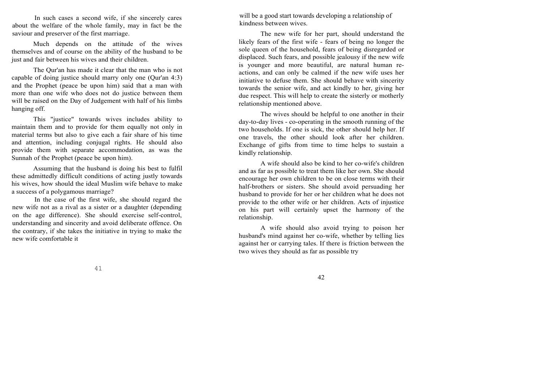In such cases a second wife, if she sincerely cares about the welfare of the whole family, may in fact be the saviour and preserver of the first marriage.

Much depends on the attitude of the wives themselves and of course on the ability of the husband to be just and fair between his wives and their children.

The Qur'an has made it clear that the man who is not capable of doing justice should marry only one (Qur'an 4:3) and the Prophet (peace be upon him) said that a man with more than one wife who does not do justice between them will be raised on the Day of Judgement with half of his limbs hanging off.

This "justice" towards wives includes ability to maintain them and to provide for them equally not only in material terms but also to give each a fair share of his time and attention, including conjugal rights. He should also provide them with separate accommodation, as was the Sunnah of the Prophet (peace be upon him).

Assuming that the husband is doing his best to fulfil these admittedly difficult conditions of acting justly towards his wives, how should the ideal Muslim wife behave to make a success of a polygamous marriage?

In the case of the first wife, she should regard the new wife not as a rival as a sister or a daughter (depending on the age difference). She should exercise self-control, understanding and sincerity and avoid deliberate offence. On the contrary, if she takes the initiative in trying to make the new wife comfortable it

will be a good start towards developing a relationship of kindness between wives.

The new wife for her part, should understand the likely fears of the first wife - fears of being no longer the sole queen of the household, fears of being disregarded or displaced. Such fears, and possible jealousy if the new wife is younger and more beautiful, are natural human reactions, and can only be calmed if the new wife uses her initiative to defuse them. She should behave with sincerity towards the senior wife, and act kindly to her, giving her due respect. This will help to create the sisterly or motherly relationship mentioned above.

The wives should be helpful to one another in their day-to-day lives - co-operating in the smooth running of the two households. If one is sick, the other should help her. If one travels, the other should look after her children. Exchange of gifts from time to time helps to sustain a kindly relationship.

A wife should also be kind to her co-wife's children and as far as possible to treat them like her own. She should encourage her own children to be on close terms with their half-brothers or sisters. She should avoid persuading her husband to provide for her or her children what he does not provide to the other wife or her children. Acts of injustice on his part will certainly upset the harmony of the relationship.

A wife should also avoid trying to poison her husband's mind against her co-wife, whether by telling lies against her or carrying tales. If there is friction between the two wives they should as far as possible try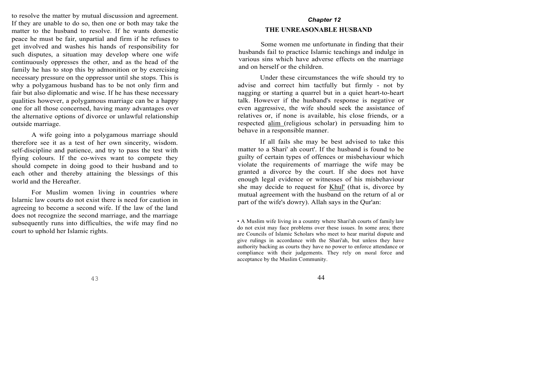to resolve the matter by mutual discussion and agreement. If they are unable to do so, then one or both may take the matter to the husband to resolve. If he wants domestic peace he must be fair, unpartial and firm if he refuses to get involved and washes his hands of responsibility for such disputes, a situation may develop where one wife continuously oppresses the other, and as the head of the family he has to stop this by admonition or by exercising necessary pressure on the oppressor until she stops. This is why a polygamous husband has to be not only firm and fair but also diplomatic and wise. If he has these necessary qualities however, a polygamous marriage can be a happy one for all those concerned, having many advantages over the alternative options of divorce or unlawful relationship outside marriage.

A wife going into a polygamous marriage should therefore see it as a test of her own sincerity, wisdom. self-discipline and patience, and try to pass the test with flying colours. If the co-wives want to compete they should compete in doing good to their husband and to each other and thereby attaining the blessings of this world and the Hereafter.

For Muslim women living in countries where Islarnic law courts do not exist there is need for caution in agreeing to become a second wife. If the law of the land does not recognize the second marriage, and the marriage subsequently runs into difficulties, the wife may find no court to uphold her Islamic rights.

# *Chapter 12*  **THE UNREASONABLE HUSBAND**

Some women me unfortunate in finding that their husbands fail to practice Islamic teachings and indulge in various sins which have adverse effects on the marriage and on herself or the children.

Under these circumstances the wife should try to advise and correct him tactfully but firmly - not by nagging or starting a quarrel but in a quiet heart-to-heart talk. However if the husband's response is negative or even aggressive, the wife should seek the assistance of relatives or, if none is available, his close friends, or a respected alim (religious scholar) in persuading him to behave in a responsible manner.

If all fails she may be best advised to take this matter to a Shari' ah court'. If the husband is found to be guilty of certain types of offences or misbehaviour which violate the requirements of marriage the wife may be granted a divorce by the court. If she does not have enough legal evidence or witnesses of his misbehaviour she may decide to request for Khul' (that is, divorce by mutual agreement with the husband on the return of al or part of the wife's dowry). Allah says in the Qur'an:

<sup>•</sup> A Muslim wife living in a country where Shari'ah courts of family law do not exist may face problems over these issues. In some area; there are Councils of Islamic Scholars who meet to hear marital dispute and give rulings in accordance with the Shari'ah, but unless they have authority backing as courts they have no power to enforce attendance or compliance with their judgements. They rely on moral force and acceptance by the Muslim Community.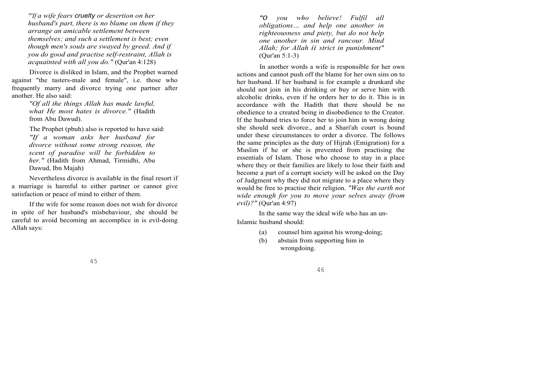*"'If a wife fears cruelty or desertion on her husband's part, there is no blame on them if they arrange an amicable settlement between themselves; and such a settlement is best; even though men's souls are swayed by greed. And if you do good and practise self-restraint, Allah is acquainted with all you do."* (Qur'an 4:128)

Divorce is disliked in Islam, and the Prophet warned against "the tasters-male and female", i.e. those who frequently marry and divorce trying one partner after another. He also said:

> *"Of all the things Allah has made lawful, what He most hates is divorce."* (Hadith from Abu Dawud).

The Prophet (pbuh) also is reported to have said: *"If a woman asks her husband for divorce without some strong reason, the scent of paradise will be forbidden to her."* (Hadith from Ahmad, Tirmidhi, Abu Dawud, Ibn Majah)

Nevertheless divorce is available in the final resort if a marriage is harmful to either partner or cannot give satisfaction or peace of mind to either of them.

If the wife for some reason does not wish for divorce in spite of her husband's misbehaviour, she should be careful to avoid becoming an accomplice in is evil-doing Allah says:

*"0 you who believe! Fulfil all obligations… and help one another in righteousness and piety, but do not help one another in sin and rancour. Mind Allah; for Allah ii strict in punishment"*  (Qur'an 5:1-3)

In another words a wife is responsible for her own actions and cannot push off the blame for her own sins on to her husband. If her husband is for example a drunkard she should not join in his drinking or buy or serve him with alcoholic drinks, even if he orders her to do it. This is in accordance with the Hadith that there should be no obedience to a created being in disobedience to the Creator. If the husband tries to force her to join him in wrong doing she should seek divorce., and a Shari'ah court is bound under these circumstances to order a divorce. The follows the same principles as the duty of Hijrah (Emigration) for a Muslim if he or she is prevented from practising the essentials of Islam. Those who choose to stay in a place where they or their families are likely to lose their faith and become a part of a corrupt society will be asked on the Day of Judgment why they did not migrate to a place where they would be free to practise their religion. *"Was the earth not wide enough for you to move your selves away (from evil)?"* (Qur'an 4:97)

In the same way the ideal wife who has an un-Islamic husband should:

(a) counsel him against his wrong-doing;

46

(b) abstain from supporting him in wrongdoing.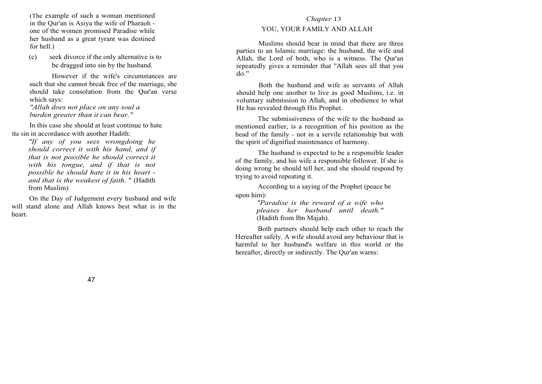(The example of such a woman mentioned in the Qur'an is Asiya the wife of Pharaoh one of the women promised Paradise while her husband as a great tyrant was destined for hell.)

(c) seek divorce if the only alternative is to be dragged into sin by the husband.

However if the wife's circumstances are such that she cannot break free of the marriage, she should take consolation from the Qur'an verse which says:

*"Allah does not place on any soul a burden greater than it can bear."*

In this case she should at least continue to hate the sin in accordance with another Hadith:

*"If any of you sees wrongdoing he should correct it with his hand, and if that is not possible he should correct it with his tongue, and if that is not possible he should hate it in his heart and that is the weakest of faith.* " (Hadith from Muslim)

On the Day of Judgement every husband and wife will stand alone and Allah knows best what is in the heart.

# *Chapter* 13 YOU, YOUR FAMILY AND ALLAH

Muslims should bear in mind that there are three parties to an Islamic marriage: the husband, the wife and Allah, the Lord of both, who is a witness. The Qur'an repeatedly gives a reminder that "Allah sees all that you do."

Both the husband and wife as servants of Allah should help one another to live as good Muslims, i.e. in voluntary submission to Allah, and in obedience to what He has revealed through His Prophet.

The submissiveness of the wife to the husband as mentioned earlier, is a recognition of his position as the head of the family - not in a servile relationship but with the spirit of dignified maintenance of harmony.

The husband is expected to be a responsible leader of the family, and his wife a responsible follower. If she is doing wrong he should tell her, and she should respond by trying to avoid repeating it.

According to a saying of the Prophet (peace be upon him):

*"Paradise is the reward of a wife who pleases her husband until death."*  (Hadith from Ibn Majah).

Both partners should help each other to reach the Hereafter safely. A wife should avoid any behaviour that is harmful to her husband's welfare in this world or the hereafter, directly or indirectly. The Our'an warns: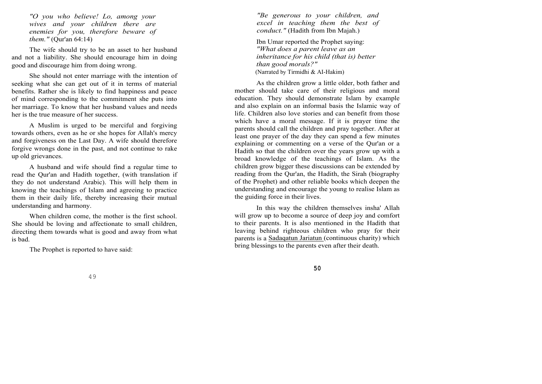*"O you who believe! Lo, among your wives and your children there are enemies for you, therefore beware of them."* (Qur'an 64:14)

The wife should try to be an asset to her husband and not a liability. She should encourage him in doing good and discourage him from doing wrong.

She should not enter marriage with the intention of seeking what she can get out of it in terms of material benefits. Rather she is likely to find happiness and peace of mind corresponding to the commitment she puts into her marriage. To know that her husband values and needs her is the true measure of her success.

A Muslim is urged to be merciful and forgiving towards others, even as he or she hopes for Allah's mercy and forgiveness on the Last Day. A wife should therefore forgive wrongs done in the past, and not continue to rake up old grievances.

A husband and wife should find a regular time to read the Qur'an and Hadith together, (with translation if they do not understand Arabic). This will help them in knowing the teachings of Islam and agreeing to practice them in their daily life, thereby increasing their mutual understanding and harmony.

When children come, the mother is the first school. She should be loving and affectionate to small children, directing them towards what is good and away from what is bad.

The Prophet is reported to have said:

*"Be generous to your children, and excel in teaching them the best of conduct."* (Hadith from Ibn Majah.)

Ibn Umar reported the Prophet saying: *"What does a parent leave as an inheritance for his child (that is) better than good morals?"*  (Narrated by Tirmidhi & AI-Hakim)

As the children grow a little older, both father and mother should take care of their religious and moral education. They should demonstrate Islam by example and also explain on an informal basis the Islamic way of life. Children also love stories and can benefit from those which have a moral message. If it is prayer time the parents should call the children and pray together. After at least one prayer of the day they can spend a few minutes explaining or commenting on a verse of the Qur'an or a Hadith so that the children over the years grow up with a broad knowledge of the teachings of Islam. As the children grow bigger these discussions can be extended by reading from the Qur'an, the Hadith, the Sirah (biography of the Prophet) and other reliable books which deepen the understanding and encourage the young to realise Islam as the guiding force in their lives.

In this way the children themselves insha' Allah will grow up to become a source of deep joy and comfort to their parents. It is also mentioned in the Hadith that leaving behind righteous children who pray for their parents is a Sadaqatun Jariatun (continuous charity) which bring blessings to the parents even after their death.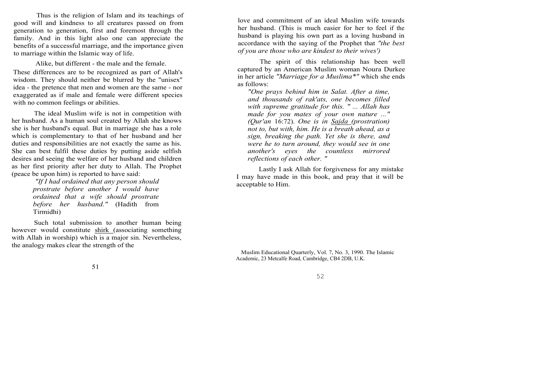Thus is the religion of Islam and its teachings of good will and kindness to all creatures passed on from generation to generation, first and foremost through the family. And in this light also one can appreciate the benefits of a successful marriage, and the importance given to marriage within the Islamic way of life.

Alike, but different - the male and the female. These differences are to be recognized as part of Allah's wisdom. They should neither be blurred by the ''unisex'' idea - the pretence that men and women are the same - nor exaggerated as if male and female were different species with no common feelings or abilities.

The ideal Muslim wife is not in competition with her husband. As a human soul created by Allah she knows she is her husband's equal. But in marriage she has a role which is complementary to that of her husband and her duties and responsibilities are not exactly the same as his. She can best fulfil these duties by putting aside selfish desires and seeing the welfare of her husband and children as her first priority after her duty to Allah. The Prophet (peace be upon him) is reported to have said:

> *"If I had ordained that any person should prostrate before another I would have ordained that a wife should prostrate before her husband."* (Hadith from Tirmidhi)

Such total submission to another human being however would constitute shirk (associating something with Allah in worship) which is a major sin. Nevertheless, the analogy makes clear the strength of the

love and commitment of an ideal Muslim wife towards her husband. (This is much easier for her to feel if the husband is playing his own part as a loving husband in accordance with the saying of the Prophet that *"the best of you are those who are kindest to their wives')*

The spirit of this relationship has been well captured by an American Muslim woman Noura Durkee in her article *"Marriage for a Muslima\*"* which she ends as follows:

*"One prays behind him in Salat. After a time, and thousands of rak'ats, one becomes filled with supreme gratitude for this. " ... Allah has made for you mates of your own nature ..." (Qur'an* 16:72). *One is in Sajda (prostration) not to, but with, him. He is a breath ahead, as a sign, breaking the path. Yet she is there, and were he to turn around, they would see in one another's eyes the countless mirrored reflections of each other. "* 

Lastly I ask Allah for forgiveness for any mistake I may have made in this book, and pray that it will be acceptable to Him.

Muslim Educational Quarterly, Vol. 7, No. 3, 1990. The Islamic Academic, 23 Metcalfe Road, Cambridge, CB4 2DB, U.K.